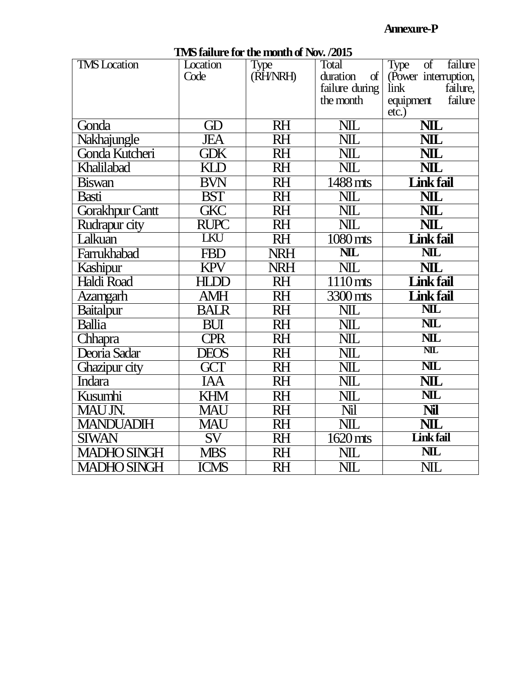#### **Annexure-P**

| <b>TMS</b> Location | Location               | Type       | Total                   | of<br>failure<br>Type            |
|---------------------|------------------------|------------|-------------------------|----------------------------------|
|                     | Code                   | (RH/NRH)   | duration<br>$\sigma$    | (Power interruption,             |
|                     |                        |            | failure during          | failure,<br>link                 |
|                     |                        |            | the month               | failure<br>equipment<br>$etc.$ ) |
| Gonda               | GD                     | <b>RH</b>  | <b>NIL</b>              | <b>NIL</b>                       |
| Nakhajungle         | JEA                    | <b>RH</b>  | $\overline{\text{NIL}}$ | $\overline{\text{NIL}}$          |
| Gonda Kutcheri      | <b>GDK</b>             | <b>RH</b>  | NIL                     | <b>NIL</b>                       |
| Khalilabad          | KID                    | <b>RH</b>  | $\overline{\text{NIL}}$ | NIL                              |
| <b>Biswan</b>       | <b>BVN</b>             | <b>RH</b>  | 1488 mts                | <b>Link fail</b>                 |
| <b>Basti</b>        | <b>BST</b>             | <b>RH</b>  | $N\!L$                  | <b>NIL</b>                       |
| Gorakhpur Cantt     | <b>GKC</b>             | <b>RH</b>  | NIL                     | <b>NIL</b>                       |
| Rudrapur city       | <b>RUPC</b>            | <b>RH</b>  | <b>NIL</b>              | <b>NIL</b>                       |
| Lalkuan             | LKU                    | <b>RH</b>  | 1080 mts                | <b>Link fail</b>                 |
| Farrukhabad         | <b>FBD</b>             | <b>NRH</b> | <b>NIL</b>              | $\overline{\text{NL}}$           |
| Kashipur            | KPV                    | <b>NRH</b> | $\overline{\text{NIL}}$ | NIL                              |
| <b>Haldi Road</b>   | <b>HLDD</b>            | <b>RH</b>  | $\overline{1110}$ mts   | <b>Link fail</b>                 |
| Azamgarh            | AMH                    | <b>RH</b>  | 3300 mts                | <b>Link fail</b>                 |
| <b>Baitalpur</b>    | <b>BALR</b>            | <b>RH</b>  | $\overline{\text{NIL}}$ | $\overline{\text{NL}}$           |
| <b>Ballia</b>       | <b>BUI</b>             | $R$ H      | $\overline{\text{NIL}}$ | <b>NIL</b>                       |
| Chhapra             | <b>CPR</b>             | <b>RH</b>  | NIL                     | $\overline{\text{NL}}$           |
| Deoria Sadar        | <b>DEOS</b>            | <b>RH</b>  | NIL                     | <b>NIL</b>                       |
| Ghazipur city       | GCT                    | <b>RH</b>  | <b>NIL</b>              | <b>NIL</b>                       |
| Indara              | IAA                    | <b>RH</b>  | $\overline{\text{NIL}}$ | <b>NIL</b>                       |
| Kusumhi             | <b>KHM</b>             | <b>RH</b>  | $\overline{\text{NIL}}$ | <b>NIL</b>                       |
| MAU JN.             | <b>MAU</b>             | <b>RH</b>  | Nil                     | Nil                              |
| <b>MANDUADIH</b>    | MAU                    | <b>RH</b>  | $\overline{\text{NIL}}$ | NIL                              |
| <b>SIWAN</b>        | $\overline{\text{SV}}$ | <b>RH</b>  | $1620$ mts              | <b>Link fail</b>                 |
| <b>MADHO SINGH</b>  | <b>MBS</b>             | <b>RH</b>  | $N\!L$                  | <b>NIL</b>                       |
| <b>MADHO SINGH</b>  | <b>ICMS</b>            | <b>RH</b>  | NIL                     | <b>NIL</b>                       |

## **TMS failure for the month of Nov. /2015**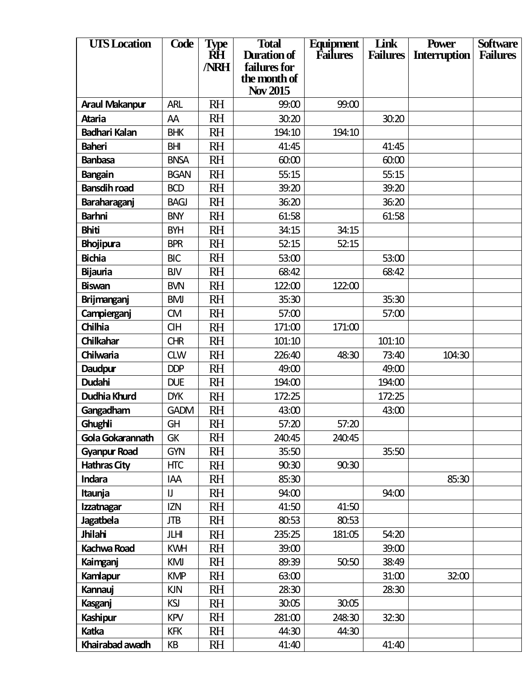| <b>UIS</b> Location   | Code        | <b>Type</b> | <b>Total</b>                 | Equipment       | Link            | <b>Power</b>        | <b>Software</b> |
|-----------------------|-------------|-------------|------------------------------|-----------------|-----------------|---------------------|-----------------|
|                       |             | RH          | Duration of                  | <b>Failures</b> | <b>Failures</b> | <b>Interruption</b> | <b>Failures</b> |
|                       |             | <b>NRH</b>  | failures for<br>the month of |                 |                 |                     |                 |
|                       |             |             | Nov 2015                     |                 |                 |                     |                 |
| <b>Araul Makanpur</b> | <b>ARL</b>  | <b>RH</b>   | 99:00                        | 99:00           |                 |                     |                 |
| <b>Ataria</b>         | AA          | <b>RH</b>   | 30:20                        |                 | 30:20           |                     |                 |
| <b>Badhari Kalan</b>  | <b>BHK</b>  | <b>RH</b>   | 194:10                       | 194:10          |                 |                     |                 |
| <b>Baheri</b>         | <b>BHI</b>  | RH          | 41:45                        |                 | 41:45           |                     |                 |
| <b>Banbasa</b>        | <b>BNSA</b> | <b>RH</b>   | 60:00                        |                 | 60:00           |                     |                 |
| Bangain               | <b>BGAN</b> | <b>RH</b>   | 55:15                        |                 | 55:15           |                     |                 |
| <b>Bansdih road</b>   | <b>BCD</b>  | <b>RH</b>   | 39:20                        |                 | 39:20           |                     |                 |
| Baraharaganj          | <b>BAGJ</b> | <b>RH</b>   | 36:20                        |                 | 36:20           |                     |                 |
| <b>Barhni</b>         | <b>BNY</b>  | <b>RH</b>   | 61:58                        |                 | 61:58           |                     |                 |
| <b>Bhiti</b>          | <b>BYH</b>  | <b>RH</b>   | 34:15                        | 34:15           |                 |                     |                 |
| <b>Bhojipura</b>      | <b>BPR</b>  | <b>RH</b>   | 52:15                        | 52:15           |                 |                     |                 |
| <b>Bichia</b>         | <b>BIC</b>  | <b>RH</b>   | 53:00                        |                 | 53:00           |                     |                 |
| <b>Bijauria</b>       | <b>BJV</b>  | <b>RH</b>   | 68:42                        |                 | 68:42           |                     |                 |
| <b>Biswan</b>         | <b>BVN</b>  | <b>RH</b>   | 122:00                       | 122:00          |                 |                     |                 |
| <b>Brijmanganj</b>    | <b>BMJ</b>  | RH          | 35:30                        |                 | 35:30           |                     |                 |
| Campierganj           | <b>CM</b>   | <b>RH</b>   | 57:00                        |                 | 57:00           |                     |                 |
| Chilhia               | <b>CIH</b>  | <b>RH</b>   | 171:00                       | 171:00          |                 |                     |                 |
| Chilkahar             | <b>CHR</b>  | <b>RH</b>   | 101:10                       |                 | 101:10          |                     |                 |
| Chilwaria             | <b>CLW</b>  | <b>RH</b>   | 226:40                       | 48:30           | 73:40           | 104:30              |                 |
| Daudpur               | <b>DDP</b>  | <b>RH</b>   | 49:00                        |                 | 49:00           |                     |                 |
| <b>Dudahi</b>         | <b>DUE</b>  | <b>RH</b>   | 194:00                       |                 | 194:00          |                     |                 |
| <b>Dudhia Khurd</b>   | <b>DYK</b>  | <b>RH</b>   | 172:25                       |                 | 172:25          |                     |                 |
| Gangadham             | <b>GADM</b> | RH          | 43:00                        |                 | 43:00           |                     |                 |
| Ghughli               | GH          | <b>RH</b>   | 57:20                        | 57:20           |                 |                     |                 |
| Gola Gokarannath      | <b>GK</b>   | RH          | 240:45                       | 240:45          |                 |                     |                 |
| <b>Gyanpur Road</b>   | <b>GYN</b>  | <b>RH</b>   | 35:50                        |                 | 35:50           |                     |                 |
| <b>Hathras City</b>   | <b>HTC</b>  | <b>RH</b>   | 90:30                        | 90:30           |                 |                     |                 |
| Indara                | IAA         | <b>RH</b>   | 85:30                        |                 |                 | 85:30               |                 |
| Itaunja               | IJ          | <b>RH</b>   | 94:00                        |                 | 94:00           |                     |                 |
| <b>Izzatnagar</b>     | <b>IZN</b>  | <b>RH</b>   | 41:50                        | 41:50           |                 |                     |                 |
| <b>Jagatbela</b>      | <b>JTB</b>  | RH          | 80:53                        | 80:53           |                 |                     |                 |
| Jhilahi               | JLHI        | <b>RH</b>   | 235:25                       | 181:05          | 54:20           |                     |                 |
| <b>Kachwa Road</b>    | <b>KWH</b>  | <b>RH</b>   | 39:00                        |                 | 39:00           |                     |                 |
| Kaimganj              | KMJ         | RH          | 89:39                        | 50:50           | 38:49           |                     |                 |
| Kamlapur              | <b>KMP</b>  | <b>RH</b>   | 63:00                        |                 | 31:00           | 32:00               |                 |
| Kannauj               | <b>KJN</b>  | <b>RH</b>   | 28:30                        |                 | 28:30           |                     |                 |
| Kasganj               | <b>KSJ</b>  | RH          | 30:05                        | 30:05           |                 |                     |                 |
| Kashipur              | <b>KPV</b>  | <b>RH</b>   | 281:00                       | 248:30          | 32:30           |                     |                 |
| Katka                 | <b>KFK</b>  | <b>RH</b>   | 44:30                        | 44:30           |                 |                     |                 |
| Khairabad awadh       | KB          | <b>RH</b>   | 41:40                        |                 | 41:40           |                     |                 |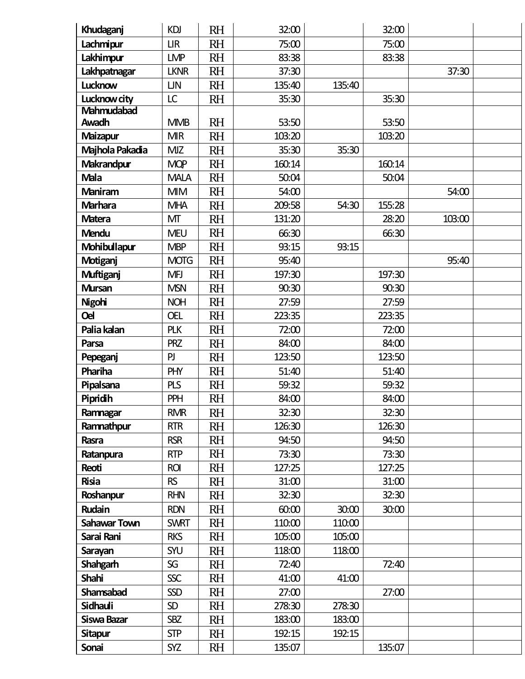| Khudaganj           | <b>KDJ</b>  | <b>RH</b> | 32:00  |        | 32:00  |        |  |
|---------------------|-------------|-----------|--------|--------|--------|--------|--|
| Lachmipur           | <b>LIR</b>  | <b>RH</b> | 75:00  |        | 75:00  |        |  |
| Lakhimpur           | <b>LMP</b>  | <b>RH</b> | 83:38  |        | 83:38  |        |  |
| Lakhpatnagar        | <b>LKNR</b> | <b>RH</b> | 37:30  |        |        | 37:30  |  |
| Lucknow             | <b>LJN</b>  | <b>RH</b> | 135:40 | 135:40 |        |        |  |
| Lucknow city        | LC          | <b>RH</b> | 35:30  |        | 35:30  |        |  |
| Mahmudabad          |             |           |        |        |        |        |  |
| Awadh               | <b>MMB</b>  | <b>RH</b> | 53:50  |        | 53:50  |        |  |
| <b>Maizapur</b>     | <b>MIR</b>  | <b>RH</b> | 103:20 |        | 103:20 |        |  |
| Majhola Pakadia     | <b>MIZ</b>  | <b>RH</b> | 35:30  | 35:30  |        |        |  |
| Makrandpur          | <b>MQP</b>  | <b>RH</b> | 160:14 |        | 160:14 |        |  |
| <b>Mala</b>         | <b>MALA</b> | <b>RH</b> | 50:04  |        | 50:04  |        |  |
| <b>Maniram</b>      | <b>MIM</b>  | <b>RH</b> | 54:00  |        |        | 54:00  |  |
| <b>Marhara</b>      | <b>MHA</b>  | <b>RH</b> | 209:58 | 54:30  | 155:28 |        |  |
| <b>Matera</b>       | МT          | <b>RH</b> | 131:20 |        | 28:20  | 103:00 |  |
| <b>Mendu</b>        | <b>MEU</b>  | <b>RH</b> | 66:30  |        | 66:30  |        |  |
| Mohibullapur        | <b>MBP</b>  | <b>RH</b> | 93:15  | 93:15  |        |        |  |
| <b>Motiganj</b>     | <b>MOTG</b> | <b>RH</b> | 95:40  |        |        | 95:40  |  |
| <b>Muftiganj</b>    | <b>MFJ</b>  | <b>RH</b> | 197:30 |        | 197:30 |        |  |
| <b>Mursan</b>       | <b>MSN</b>  | <b>RH</b> | 90:30  |        | 90:30  |        |  |
| <b>Nigohi</b>       | <b>NOH</b>  | <b>RH</b> | 27:59  |        | 27:59  |        |  |
| <b>Oel</b>          | <b>OEL</b>  | <b>RH</b> | 223:35 |        | 223:35 |        |  |
| Palia kalan         | <b>PLK</b>  | <b>RH</b> | 72:00  |        | 72:00  |        |  |
| Parsa               | <b>PRZ</b>  | <b>RH</b> | 84:00  |        | 84:00  |        |  |
| Pepeganj            | PJ          | <b>RH</b> | 123:50 |        | 123:50 |        |  |
| Phariha             | <b>PHY</b>  | <b>RH</b> | 51:40  |        | 51:40  |        |  |
| Pipalsana           | <b>PLS</b>  | <b>RH</b> | 59:32  |        | 59:32  |        |  |
| Pipridih            | PPH         | <b>RH</b> | 84:00  |        | 84:00  |        |  |
| Ramnagar            | <b>RMR</b>  | <b>RH</b> | 32:30  |        | 32:30  |        |  |
| Ramnathpur          | <b>RTR</b>  | <b>RH</b> | 126:30 |        | 126:30 |        |  |
| Rasra               | <b>RSR</b>  | <b>RH</b> | 94:50  |        | 94:50  |        |  |
| Ratanpura           | <b>RTP</b>  | <b>RH</b> | 73:30  |        | 73:30  |        |  |
| Reoti               | <b>ROI</b>  | <b>RH</b> | 127:25 |        | 127:25 |        |  |
| <b>Risia</b>        | <b>RS</b>   | <b>RH</b> | 31:00  |        | 31:00  |        |  |
| Roshanpur           | <b>RHN</b>  | <b>RH</b> | 32:30  |        | 32:30  |        |  |
| Rudain              | <b>RDN</b>  | <b>RH</b> | 60:00  | 30:00  | 30:00  |        |  |
| <b>Sahawar Town</b> | <b>SWRT</b> | <b>RH</b> | 110:00 | 110:00 |        |        |  |
| Sarai Rani          | <b>RKS</b>  | <b>RH</b> | 105:00 | 105:00 |        |        |  |
| Sarayan             | SYU         | <b>RH</b> | 118:00 | 118:00 |        |        |  |
| <b>Shahgarh</b>     | SG          | <b>RH</b> | 72:40  |        | 72:40  |        |  |
| Shahi               | <b>SSC</b>  | <b>RH</b> | 41:00  | 41:00  |        |        |  |
| Shamsabad           | <b>SSD</b>  | <b>RH</b> | 27:00  |        | 27:00  |        |  |
| Sidhauli            | <b>SD</b>   | <b>RH</b> | 278:30 | 278:30 |        |        |  |
| Siswa Bazar         | <b>SBZ</b>  | <b>RH</b> | 183:00 | 183:00 |        |        |  |
| <b>Sitapur</b>      | <b>STP</b>  | <b>RH</b> | 192:15 | 192:15 |        |        |  |
| Sonai               | <b>SYZ</b>  | <b>RH</b> | 135:07 |        | 135:07 |        |  |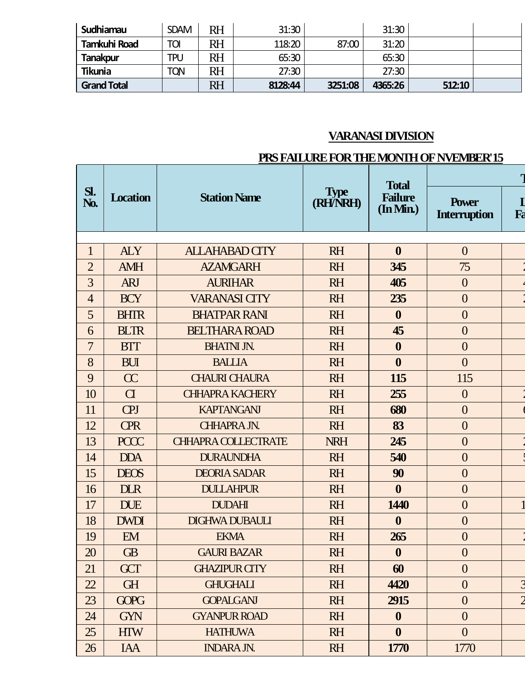| Sudhiamau           | <b>SDAM</b> | RH | 31:30   |         | 31:30   |        |  |
|---------------------|-------------|----|---------|---------|---------|--------|--|
| <b>Tamkuhi Road</b> | Toi         | RH | 118:20  | 87:00   | 31:20   |        |  |
| Tanakpur            | <b>TPU</b>  | RH | 65:30   |         | 65:30   |        |  |
| <b>Tikunia</b>      | <b>TQN</b>  | RH | 27:30   |         | 27:30   |        |  |
| <b>Grand Total</b>  |             | RH | 8128:44 | 3251:08 | 4365:26 | 512:10 |  |

# **VARANASI DIVISION**

### **PRS FAILURE FOR THE MONTH OF NVEMBER'15**

|                |                 |                            |                         | <b>Total</b>                           |                                     |                |  |
|----------------|-----------------|----------------------------|-------------------------|----------------------------------------|-------------------------------------|----------------|--|
| $Sl$ .<br>No.  | <b>Location</b> | <b>Station Name</b>        | <b>Type</b><br>(RH/NRH) | <b>Failure</b><br>$(\ln \mathbf{Min})$ | <b>Power</b><br><b>Interruption</b> | $\bf{I}$<br>Fa |  |
|                |                 |                            |                         |                                        |                                     |                |  |
| 1              | <b>ALY</b>      | <b>ALLAHABAD CITY</b>      | <b>RH</b>               | $\boldsymbol{0}$                       | $\overline{0}$                      |                |  |
| $\overline{2}$ | <b>AMH</b>      | <b>AZAMGARH</b>            | <b>RH</b>               | 345                                    | 75                                  |                |  |
| 3              | <b>ARJ</b>      | <b>AURIHAR</b>             | <b>RH</b>               | 405                                    | $\boldsymbol{0}$                    |                |  |
| $\overline{4}$ | <b>BCY</b>      | <b>VARANASI CITY</b>       | <b>RH</b>               | 235                                    | $\overline{0}$                      |                |  |
| 5              | <b>BHTR</b>     | <b>BHATPAR RANI</b>        | <b>RH</b>               | $\boldsymbol{0}$                       | $\overline{0}$                      |                |  |
| 6              | <b>BLTR</b>     | <b>BELTHARA ROAD</b>       | <b>RH</b>               | 45                                     | $\overline{0}$                      |                |  |
| 7              | <b>BTT</b>      | <b>BHATNI JN.</b>          | <b>RH</b>               | $\boldsymbol{0}$                       | $\overline{0}$                      |                |  |
| 8              | <b>BUI</b>      | <b>BALLIA</b>              | <b>RH</b>               | $\boldsymbol{0}$                       | $\overline{0}$                      |                |  |
| 9              | $\alpha$        | <b>CHAURI CHAURA</b>       | <b>RH</b>               | 115                                    | 115                                 |                |  |
| 10             | $\overline{C}$  | <b>CHHAPRA KACHERY</b>     | <b>RH</b>               | 255                                    | $\overline{0}$                      |                |  |
| 11             | <b>CPJ</b>      | <b>KAPTANGAN</b>           | <b>RH</b>               | 680                                    | $\overline{0}$                      |                |  |
| 12             | <b>CPR</b>      | <b>CHHAPRA JN.</b>         | <b>RH</b>               | 83                                     | $\overline{0}$                      |                |  |
| 13             | <b>PCCC</b>     | <b>CHHAPRA COLLECTRATE</b> | <b>NRH</b>              | 245                                    | $\overline{0}$                      |                |  |
| 14             | <b>DDA</b>      | <b>DURAUNDHA</b>           | <b>RH</b>               | 540                                    | $\overline{0}$                      |                |  |
| 15             | <b>DEOS</b>     | <b>DEORIA SADAR</b>        | <b>RH</b>               | 90                                     | $\overline{0}$                      |                |  |
| 16             | <b>DLR</b>      | <b>DULLAHPUR</b>           | <b>RH</b>               | $\boldsymbol{0}$                       | $\overline{0}$                      |                |  |
| 17             | <b>DUE</b>      | <b>DUDAHI</b>              | <b>RH</b>               | 1440                                   | $\overline{0}$                      |                |  |
| 18             | <b>DWDI</b>     | <b>DIGHWA DUBAULI</b>      | <b>RH</b>               | $\boldsymbol{0}$                       | $\overline{0}$                      |                |  |
| 19             | EM              | <b>EKMA</b>                | <b>RH</b>               | 265                                    | $\overline{0}$                      |                |  |
| 20             | <b>GB</b>       | <b>GAURI BAZAR</b>         | <b>RH</b>               | $\boldsymbol{0}$                       | $\boldsymbol{0}$                    |                |  |
| 21             | <b>GCT</b>      | <b>GHAZIPUR CITY</b>       | <b>RH</b>               | 60                                     | $\boldsymbol{0}$                    |                |  |
| 22             | <b>GH</b>       | <b>GHUGHALI</b>            | <b>RH</b>               | 4420                                   | $\boldsymbol{0}$                    |                |  |
| 23             | <b>GOPG</b>     | <b>GOPALGANI</b>           | <b>RH</b>               | 2915                                   | $\boldsymbol{0}$                    |                |  |
| 24             | <b>GYN</b>      | <b>GYANPUR ROAD</b>        | <b>RH</b>               | $\boldsymbol{0}$                       | $\boldsymbol{0}$                    |                |  |
| 25             | <b>HIW</b>      | <b>HATHUWA</b>             | <b>RH</b>               | $\boldsymbol{0}$                       | $\overline{0}$                      |                |  |
| 26             | IAA             | <b>INDARA JN.</b>          | <b>RH</b>               | <b>1770</b>                            | 1770                                |                |  |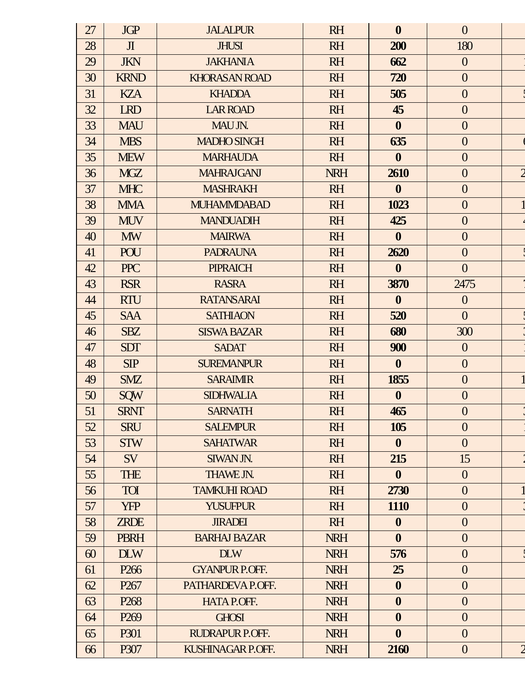| 27 | <b>JGP</b>       | <b>JALALPUR</b>       | <b>RH</b>  | $\boldsymbol{0}$ | $\overline{0}$   |                |
|----|------------------|-----------------------|------------|------------------|------------------|----------------|
| 28 | $\mathbf{J}$     | <b>JHUSI</b>          | <b>RH</b>  | 200              | 180              |                |
| 29 | <b>JKN</b>       | <b>JAKHANIA</b>       | <b>RH</b>  | 662              | $\overline{0}$   |                |
| 30 | <b>KRND</b>      | <b>KHORASAN ROAD</b>  | <b>RH</b>  | 720              | $\overline{0}$   |                |
| 31 | <b>KZA</b>       | <b>KHADDA</b>         | <b>RH</b>  | 505              | $\overline{0}$   |                |
| 32 | <b>LRD</b>       | <b>LAR ROAD</b>       | <b>RH</b>  | 45               | $\overline{0}$   |                |
| 33 | <b>MAU</b>       | MAU JN.               | <b>RH</b>  | $\mathbf{0}$     | $\overline{0}$   |                |
| 34 | <b>MBS</b>       | <b>MADHO SINGH</b>    | <b>RH</b>  | 635              | $\overline{0}$   |                |
| 35 | <b>MEW</b>       | <b>MARHAUDA</b>       | <b>RH</b>  | $\mathbf{0}$     | $\overline{0}$   |                |
| 36 | <b>MGZ</b>       | <b>MAHRAJGANJ</b>     | <b>NRH</b> | 2610             | $\overline{0}$   | $\overline{2}$ |
| 37 | <b>MHC</b>       | <b>MASHRAKH</b>       | <b>RH</b>  | $\boldsymbol{0}$ | $\overline{0}$   |                |
| 38 | <b>MMA</b>       | <b>MUHAMMDABAD</b>    | <b>RH</b>  | 1023             | $\overline{0}$   |                |
| 39 | <b>MUV</b>       | <b>MANDUADIH</b>      | <b>RH</b>  | 425              | $\overline{0}$   |                |
| 40 | <b>MW</b>        | <b>MAIRWA</b>         | <b>RH</b>  | $\boldsymbol{0}$ | $\overline{0}$   |                |
| 41 | <b>POU</b>       | <b>PADRAUNA</b>       | <b>RH</b>  | 2620             | $\overline{0}$   |                |
| 42 | <b>PPC</b>       | <b>PIPRAICH</b>       | <b>RH</b>  | $\boldsymbol{0}$ | $\overline{0}$   |                |
| 43 | <b>RSR</b>       | <b>RASRA</b>          | <b>RH</b>  | 3870             | 2475             |                |
| 44 | <b>RTU</b>       | <b>RATANSARAI</b>     | <b>RH</b>  | $\boldsymbol{0}$ | $\overline{0}$   |                |
| 45 | <b>SAA</b>       | <b>SATHIAON</b>       | <b>RH</b>  | 520              | $\overline{0}$   |                |
| 46 | <b>SBZ</b>       | <b>SISWA BAZAR</b>    | <b>RH</b>  | 680              | 300              |                |
| 47 | <b>SDT</b>       | <b>SADAT</b>          | <b>RH</b>  | 900              | $\overline{0}$   |                |
| 48 | SIP              | <b>SUREMANPUR</b>     | <b>RH</b>  | $\boldsymbol{0}$ | $\overline{0}$   |                |
| 49 | <b>SMZ</b>       | <b>SARAIMIR</b>       | <b>RH</b>  | 1855             | $\overline{0}$   |                |
| 50 | <b>SQW</b>       | <b>SIDHWALIA</b>      | <b>RH</b>  | $\boldsymbol{0}$ | $\overline{0}$   |                |
| 51 | <b>SRNT</b>      | <b>SARNATH</b>        | <b>RH</b>  | 465              | $\overline{0}$   |                |
| 52 | <b>SRU</b>       | <b>SALEMPUR</b>       | <b>RH</b>  | 105              | $\overline{0}$   |                |
| 53 | <b>STW</b>       | <b>SAHATWAR</b>       | <b>RH</b>  | $\boldsymbol{0}$ | $\overline{0}$   |                |
| 54 | SV               | SIWAN JN.             | <b>RH</b>  | 215              | 15               |                |
| 55 | <b>THE</b>       | THAWE JN.             | <b>RH</b>  | $\mathbf{0}$     | $\overline{0}$   |                |
| 56 | <b>TOI</b>       | <b>TAMKUHI ROAD</b>   | <b>RH</b>  | 2730             | $\overline{0}$   |                |
| 57 | <b>YFP</b>       | <b>YUSUFPUR</b>       | <b>RH</b>  | 1110             | $\overline{0}$   |                |
| 58 | <b>ZRDE</b>      | <b>JIRADEI</b>        | <b>RH</b>  | $\boldsymbol{0}$ | $\overline{0}$   |                |
| 59 | <b>PBRH</b>      | <b>BARHAJ BAZAR</b>   | <b>NRH</b> | $\boldsymbol{0}$ | $\overline{0}$   |                |
| 60 | <b>DLW</b>       | <b>DLW</b>            | <b>NRH</b> | 576              | $\overline{0}$   |                |
| 61 | P <sub>266</sub> | <b>GYANPUR P.OFF.</b> | <b>NRH</b> | 25               | $\overline{0}$   |                |
| 62 | P <sub>267</sub> | PATHARDEVA P.OFF.     | <b>NRH</b> | $\boldsymbol{0}$ | $\overline{0}$   |                |
| 63 | P <sub>268</sub> | <b>HATA P.OFF.</b>    | <b>NRH</b> | $\boldsymbol{0}$ | $\overline{0}$   |                |
| 64 | P <sub>269</sub> | <b>GHOSI</b>          | <b>NRH</b> | $\boldsymbol{0}$ | $\overline{0}$   |                |
| 65 | P301             | RUDRAPUR P.OFF.       | <b>NRH</b> | $\boldsymbol{0}$ | $\overline{0}$   |                |
| 66 | P307             | KUSHINAGAR P.OFF.     | <b>NRH</b> | 2160             | $\boldsymbol{0}$ | $\overline{c}$ |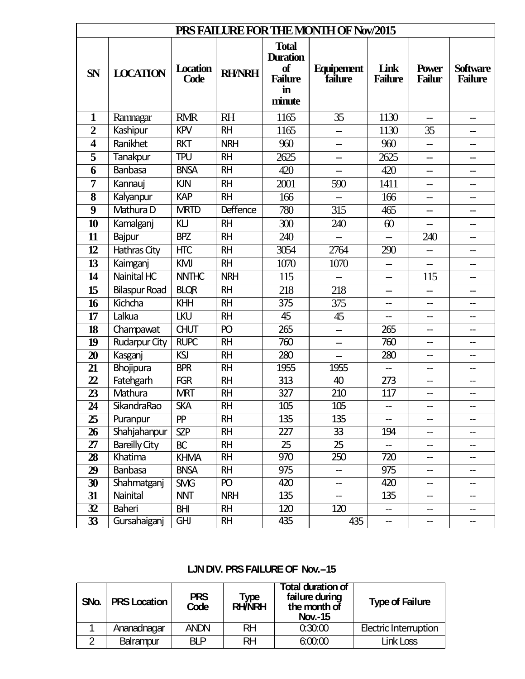| PRS FAILURE FOR THE MONTH OF Nov/2015 |                      |                         |                 |                                                                         |                              |                        |                                     |                                   |  |
|---------------------------------------|----------------------|-------------------------|-----------------|-------------------------------------------------------------------------|------------------------------|------------------------|-------------------------------------|-----------------------------------|--|
| <b>SN</b>                             | <b>LOCATION</b>      | <b>Location</b><br>Code | <b>RH/NRH</b>   | <b>Total</b><br><b>Duration</b><br>of<br><b>Failure</b><br>in<br>minute | <b>Equipement</b><br>failure | Link<br><b>Failure</b> | <b>Power</b><br><b>Failur</b>       | <b>Software</b><br><b>Failure</b> |  |
| 1                                     | Ramnagar             | <b>RMR</b>              | <b>RH</b>       | 1165                                                                    | 35                           | 1130                   | $\overline{\phantom{0}}$            | —                                 |  |
| $\overline{2}$                        | Kashipur             | <b>KPV</b>              | <b>RH</b>       | 1165                                                                    |                              | 1130                   | 35                                  |                                   |  |
| $\overline{\mathbf{4}}$               | Ranikhet             | <b>RKT</b>              | <b>NRH</b>      | 960                                                                     | --                           | 960                    | $\overline{\phantom{0}}$            | --                                |  |
| $\overline{\mathbf{5}}$               | <b>Tanakpur</b>      | <b>TPU</b>              | <b>RH</b>       | 2625                                                                    | --                           | 2625                   | --                                  | —                                 |  |
| 6                                     | <b>Banbasa</b>       | <b>BNSA</b>             | <b>RH</b>       | 420                                                                     |                              | 420                    |                                     |                                   |  |
| 7                                     | Kannauj              | <b>KJN</b>              | <b>RH</b>       | 2001                                                                    | 590                          | 1411                   | --                                  |                                   |  |
| 8                                     | Kalyanpur            | <b>KAP</b>              | <b>RH</b>       | 166                                                                     | --                           | 166                    | --                                  | —                                 |  |
| 9                                     | Mathura D            | <b>MRTD</b>             | <b>Deffence</b> | 780                                                                     | 315                          | 465                    |                                     |                                   |  |
| 10                                    | Kamalganj            | KLJ                     | <b>RH</b>       | 300                                                                     | 240                          | 60                     | $\overline{\phantom{0}}$            | --                                |  |
| 11                                    | Bajpur               | <b>BPZ</b>              | <b>RH</b>       | 240                                                                     |                              |                        | 240                                 |                                   |  |
| 12                                    | Hathras City         | <b>HTC</b>              | <b>RH</b>       | 3054                                                                    | 2764                         | 290                    |                                     |                                   |  |
| $\overline{13}$                       | Kaimganj             | <b>KMJ</b>              | <b>RH</b>       | 1070                                                                    | 1070                         |                        |                                     |                                   |  |
| 14                                    | Nainital HC          | <b>NNTHC</b>            | <b>NRH</b>      | 115                                                                     | $\overline{\phantom{a}}$     | --                     | 115                                 | --                                |  |
| 15                                    | <b>Bilaspur Road</b> | <b>BLQR</b>             | <b>RH</b>       | 218                                                                     | 218                          |                        |                                     |                                   |  |
| 16                                    | Kichcha              | KHH                     | <b>RH</b>       | 375                                                                     | 375                          | --                     | $\overline{\phantom{a}}$            | --                                |  |
| 17                                    | Lalkua               | <b>LKU</b>              | <b>RH</b>       | 45                                                                      | 45                           |                        | $-$                                 |                                   |  |
| $\overline{18}$                       | Champawat            | <b>CHUT</b>             | $\overline{P}$  | 265                                                                     | --                           | 265                    | --                                  | --                                |  |
| 19                                    | <b>Rudarpur City</b> | <b>RUPC</b>             | <b>RH</b>       | 760                                                                     | --                           | 760                    | $\hspace{0.05cm}$ $\hspace{0.05cm}$ | --                                |  |
| 20                                    | Kasganj              | KSI                     | <b>RH</b>       | 280                                                                     | $\overline{\phantom{0}}$     | 280                    | --                                  | --                                |  |
| 21                                    | Bhojipura            | <b>BPR</b>              | <b>RH</b>       | 1955                                                                    | 1955                         | --                     | --                                  | --                                |  |
| $\overline{22}$                       | Fatehgarh            | <b>FGR</b>              | <b>RH</b>       | $\overline{313}$                                                        | 40                           | $\overline{273}$       | --                                  |                                   |  |
| 23                                    | Mathura              | <b>MRT</b>              | <b>RH</b>       | 327                                                                     | 210                          | 117                    | --                                  | --                                |  |
| $\overline{24}$                       | SikandraRao          | <b>SKA</b>              | <b>RH</b>       | 105                                                                     | 105                          |                        |                                     |                                   |  |
| 25                                    | Puranpur             | <b>PP</b>               | <b>RH</b>       | 135                                                                     | 135                          |                        | --                                  |                                   |  |
| 26                                    | Shahjahanpur         | <b>SZP</b>              | <b>RH</b>       | 227                                                                     | 33                           | 194                    | --                                  |                                   |  |
| $\overline{27}$                       | <b>Bareilly City</b> | <b>BC</b>               | <b>RH</b>       | 25                                                                      | 25                           | --                     | --                                  |                                   |  |
| 28                                    | Khatima              | <b>KHMA</b>             | <b>RH</b>       | 970                                                                     | 250                          | 720                    | --                                  |                                   |  |
| 29                                    | <b>Banbasa</b>       | <b>BNSA</b>             | <b>RH</b>       | 975                                                                     | --                           | 975                    | --                                  | --                                |  |
| 30                                    | Shahmatganj          | <b>SMG</b>              | PO              | 420                                                                     | --                           | 420                    | --                                  |                                   |  |
| 31                                    | Nainital             | <b>NNT</b>              | <b>NRH</b>      | 135                                                                     | --                           | 135                    | --                                  |                                   |  |
| 32                                    | Baheri               | <b>BHI</b>              | <b>RH</b>       | 120                                                                     | 120                          | --                     | --                                  |                                   |  |
| $\overline{33}$                       | Gursahaiganj         | <b>GHJ</b>              | <b>RH</b>       | 435                                                                     | 435                          | $\qquad \qquad -$      | --                                  |                                   |  |

### LJN DIV. PRS FAILURE OF Nov. - 15

| SNo. | <b>PRS Location</b> | <b>PRS</b><br>Code | Type<br>RH/NRH | <b>Total duration of</b><br>failure during<br>the month of<br><b>Nov.-15</b> | <b>Type of Failure</b>       |
|------|---------------------|--------------------|----------------|------------------------------------------------------------------------------|------------------------------|
|      | Ananadnagar         | <b>ANDN</b>        | RH             | 0:30:00                                                                      | <b>Electric Interruption</b> |
|      | Balrampur           | RI P               | RH             | 6:00:00                                                                      | Link Loss                    |